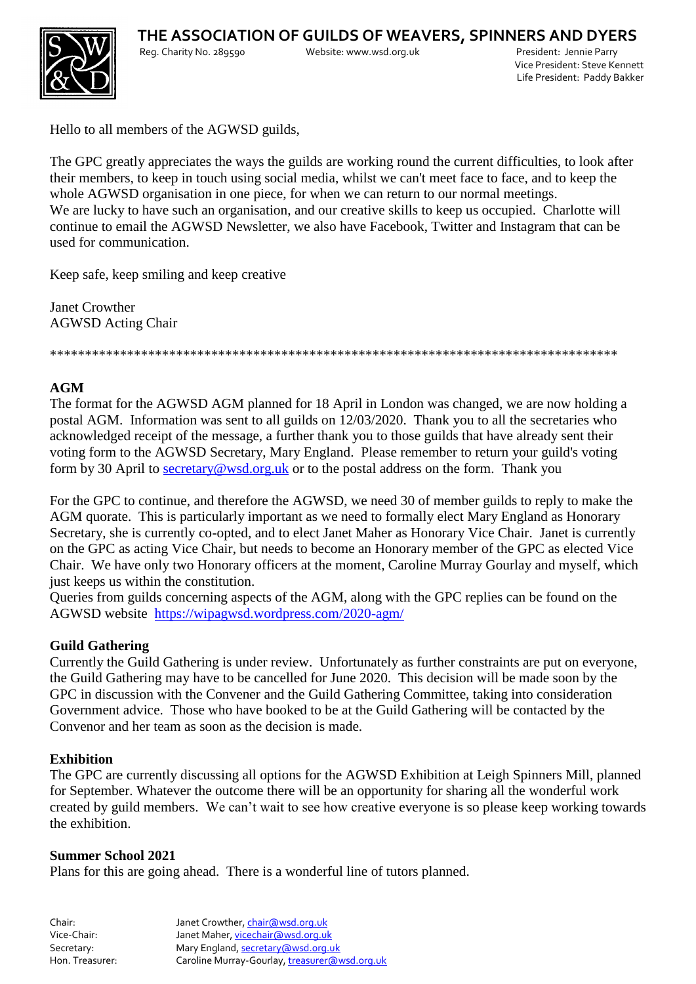

Vice President: Steve Kennett Life President: Paddy Bakker

Hello to all members of the AGWSD guilds,

The GPC greatly appreciates the ways the guilds are working round the current difficulties, to look after their members, to keep in touch using social media, whilst we can't meet face to face, and to keep the whole AGWSD organisation in one piece, for when we can return to our normal meetings. We are lucky to have such an organisation, and our creative skills to keep us occupied. Charlotte will continue to email the AGWSD Newsletter, we also have Facebook, Twitter and Instagram that can be used for communication.

Keep safe, keep smiling and keep creative

Janet Crowther AGWSD Acting Chair

\*\*\*\*\*\*\*\*\*\*\*\*\*\*\*\*\*\*\*\*\*\*\*\*\*\*\*\*\*\*\*\*\*\*\*\*\*\*\*\*\*\*\*\*\*\*\*\*\*\*\*\*\*\*\*\*\*\*\*\*\*\*\*\*\*\*\*\*\*\*\*\*\*\*\*\*\*\*\*\*\*

## **AGM**

The format for the AGWSD AGM planned for 18 April in London was changed, we are now holding a postal AGM. Information was sent to all guilds on 12/03/2020. Thank you to all the secretaries who acknowledged receipt of the message, a further thank you to those guilds that have already sent their voting form to the AGWSD Secretary, Mary England. Please remember to return your guild's voting form by 30 April to [secretary@wsd.org.uk](mailto:secretary@wsd.org.uk) or to the postal address on the form. Thank you

For the GPC to continue, and therefore the AGWSD, we need 30 of member guilds to reply to make the AGM quorate. This is particularly important as we need to formally elect Mary England as Honorary Secretary, she is currently co-opted, and to elect Janet Maher as Honorary Vice Chair. Janet is currently on the GPC as acting Vice Chair, but needs to become an Honorary member of the GPC as elected Vice Chair. We have only two Honorary officers at the moment, Caroline Murray Gourlay and myself, which just keeps us within the constitution.

Queries from guilds concerning aspects of the AGM, along with the GPC replies can be found on the AGWSD website <https://wipagwsd.wordpress.com/2020-agm/>

## **Guild Gathering**

Currently the Guild Gathering is under review. Unfortunately as further constraints are put on everyone, the Guild Gathering may have to be cancelled for June 2020. This decision will be made soon by the GPC in discussion with the Convener and the Guild Gathering Committee, taking into consideration Government advice. Those who have booked to be at the Guild Gathering will be contacted by the Convenor and her team as soon as the decision is made.

## **Exhibition**

The GPC are currently discussing all options for the AGWSD Exhibition at Leigh Spinners Mill, planned for September. Whatever the outcome there will be an opportunity for sharing all the wonderful work created by guild members. We can't wait to see how creative everyone is so please keep working towards the exhibition.

## **Summer School 2021**

Plans for this are going ahead. There is a wonderful line of tutors planned.

| Chair:          | Janet Crowther, chair@wsd.org.uk              |
|-----------------|-----------------------------------------------|
| Vice-Chair:     | Janet Maher, vicechair@wsd.org.uk             |
| Secretary:      | Mary England, secretary (awsd.org.uk          |
| Hon. Treasurer: | Caroline Murray-Gourlay, treasurer@wsd.org.uk |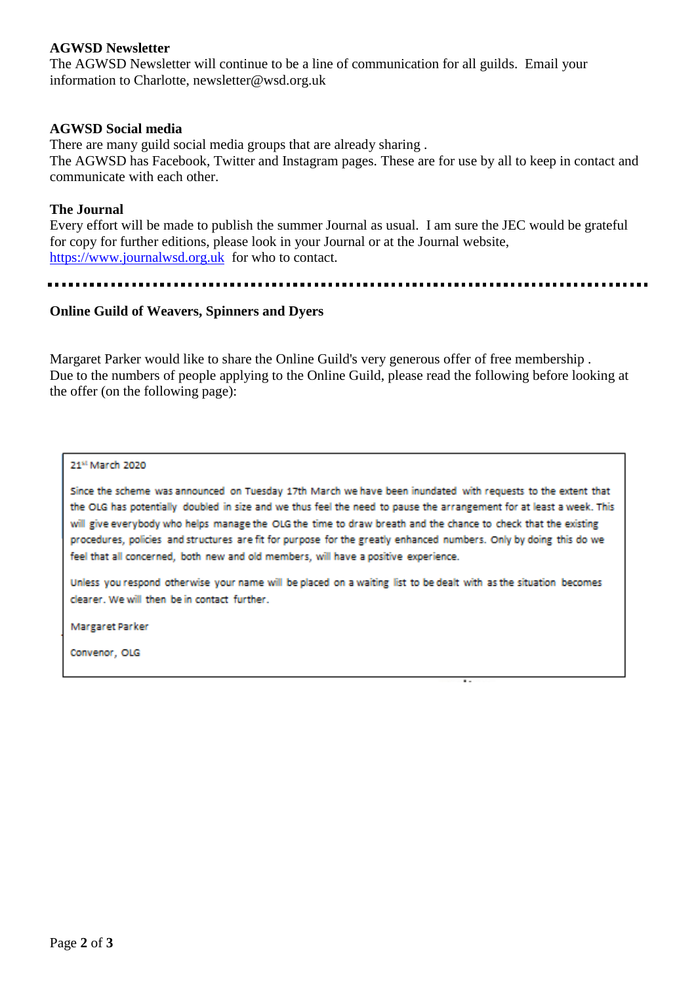### **AGWSD Newsletter**

The AGWSD Newsletter will continue to be a line of communication for all guilds. Email your information to Charlotte, newsletter@wsd.org.uk

#### **AGWSD Social media**

There are many guild social media groups that are already sharing .

The AGWSD has Facebook, Twitter and Instagram pages. These are for use by all to keep in contact and communicate with each other.

#### **The Journal**

Every effort will be made to publish the summer Journal as usual. I am sure the JEC would be grateful for copy for further editions, please look in your Journal or at the Journal website, [https://www.journalwsd.org.uk](https://www.journalwsd.org.uk/) for who to contact.

### **Online Guild of Weavers, Spinners and Dyers**

Margaret Parker would like to share the Online Guild's very generous offer of free membership . Due to the numbers of people applying to the Online Guild, please read the following before looking at the offer (on the following page):

#### 21st March 2020

Since the scheme was announced on Tuesday 17th March we have been inundated with requests to the extent that the OLG has potentially doubled in size and we thus feel the need to pause the arrangement for at least a week. This will give everybody who helps manage the OLG the time to draw breath and the chance to check that the existing procedures, policies and structures are fit for purpose for the greatly enhanced numbers. Only by doing this do we feel that all concerned, both new and old members, will have a positive experience.

Unless you respond otherwise your name will be placed on a waiting list to be dealt with as the situation becomes clearer. We will then be in contact further.

**Margaret Parker** 

Convenor, OLG